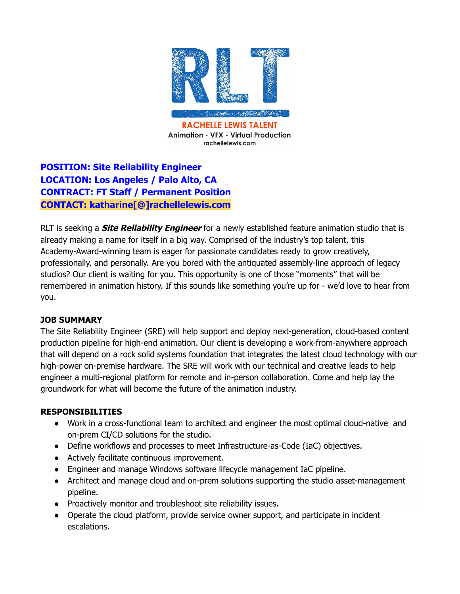

# **POSITION: Site Reliability Engineer LOCATION: Los Angeles / Palo Alto, CA CONTRACT: FT Staff / Permanent Position CONTACT: katharine[@]rachellelewis.com**

RLT is seeking a **Site Reliability Engineer** for a newly established feature animation studio that is already making a name for itself in a big way. Comprised of the industry's top talent, this Academy-Award-winning team is eager for passionate candidates ready to grow creatively, professionally, and personally. Are you bored with the antiquated assembly-line approach of legacy studios? Our client is waiting for you. This opportunity is one of those "moments" that will be remembered in animation history. If this sounds like something you're up for - we'd love to hear from you.

# **JOB SUMMARY**

The Site Reliability Engineer (SRE) will help support and deploy next-generation, cloud-based content production pipeline for high-end animation. Our client is developing a work-from-anywhere approach that will depend on a rock solid systems foundation that integrates the latest cloud technology with our high-power on-premise hardware. The SRE will work with our technical and creative leads to help engineer a multi-regional platform for remote and in-person collaboration. Come and help lay the groundwork for what will become the future of the animation industry.

# **RESPONSIBILITIES**

- Work in a cross-functional team to architect and engineer the most optimal cloud-native and on-prem CI/CD solutions for the studio.
- Define workflows and processes to meet Infrastructure-as-Code (IaC) objectives.
- Actively facilitate continuous improvement.
- Engineer and manage Windows software lifecycle management IaC pipeline.
- Architect and manage cloud and on-prem solutions supporting the studio asset-management pipeline.
- Proactively monitor and troubleshoot site reliability issues.
- Operate the cloud platform, provide service owner support, and participate in incident escalations.